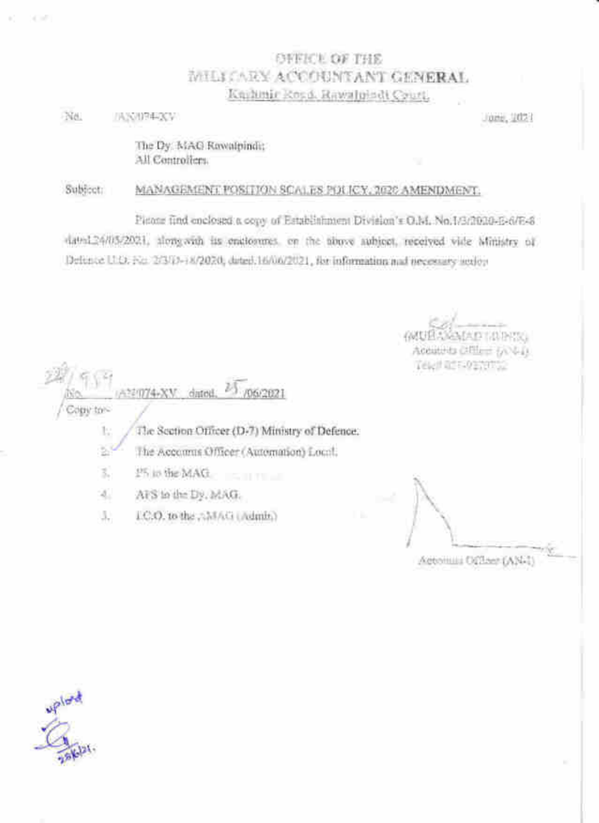## **OFFICE OF THE** MILICARY ACCOUNTANT GENERAL Knitinic Rosa, Rawalpindi Court,

Ne. **IANUPERV** 

**SCORE** 

Jone, 2021

The Dy. MAG Rewalpindit All Controllers.

#### Subject: MANAGEMENT POSITION SCALES PDUCY, 2020 AMENDMENT.

Pietone find enclosed a copy of Establishment Division's O.M. No.1/3/2020-E-6/E-8 dated24/05/2021, alongwith its englorenes, on the above aubicet, received vide Ministry of Definite U.O. For 2/3/0-18/2020, dated 16/06/2021, for information and presently action

ADTAINER Acquisits CREET SOULD. Telef REF-9139752

22074-XV dated. 3 /06/2021 Fight fight

The Section Officer (D-7) Ministry of Defence. Ŀ,

ž The Accounts Officer (Automation) Local,

25 in the MAG. 3.

 $\mathcal{A}_\perp$ AFS to the Dy. MAG.

LC.O. to the AMAG (Admit) JJ.

Actomis Officer (AN-1)

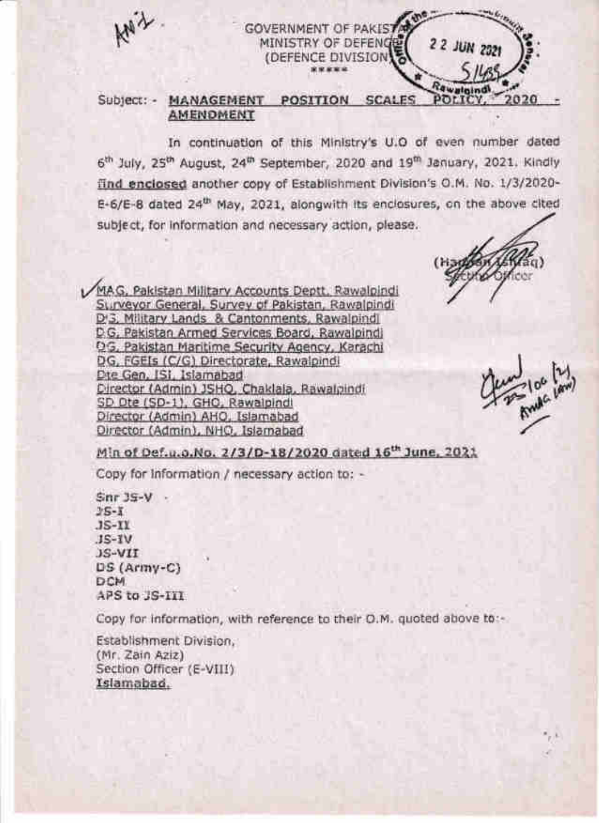

## **GOVERNMENT OF PAKIST** MINISTRY OF DEFENGER (DEFENCE DIVISION)

#### Subject: - MANAGEMENT POSITION SCALES POLIC 2020 **AMENOMENT**

In continuation of this Ministry's U.O of even number dated 6th July, 25th August, 24th September, 2020 and 19th January, 2021. Kindly find enclosed another copy of Establishment Division's O.M. No. 1/3/2020-E-6/E-8 dated 24<sup>th</sup> May, 2021, alongwith its enclosures, on the above cited subject, for information and necessary action, please.

MAG, Pakistan Military Accounts Deptt, Rawalpindi Surveyor General, Survey of Pakistan, Rawalpindi D.3. Military Lands & Cantonments, Rawalpindi D.G. Pakistan Armed Services Board, Rawalpindi QG, Pakistan Maritime Security Agency, Karachi DG, FGEIs (C/G) Directorate, Rawalpindi Dte Gen, ISI, Islamabad Director (Admin) JSHQ, Chaklala, Rawalpindi SD Dte (SD-1), GHO, Rawalpindi Director (Admin) AHO, Islamabad Director (Admin), NHO, Islamabad

2 2 JUN 2021

Min of Def.u.o.No. 2/3/D-18/2020 dated 16<sup>th</sup> June, 2021

Copy for information / necessary action to: -

 $Snr$  39-V  $2S-I$  $JS-IV$  $JS-IV$ JS-VII DS (Army-C) DCM. APS to JS-III

Copy for information, with reference to their O.M. quoted above to:-

Establishment Division. (Mr. Zain Aziz) Section Officer (E-VIII) Islamabad.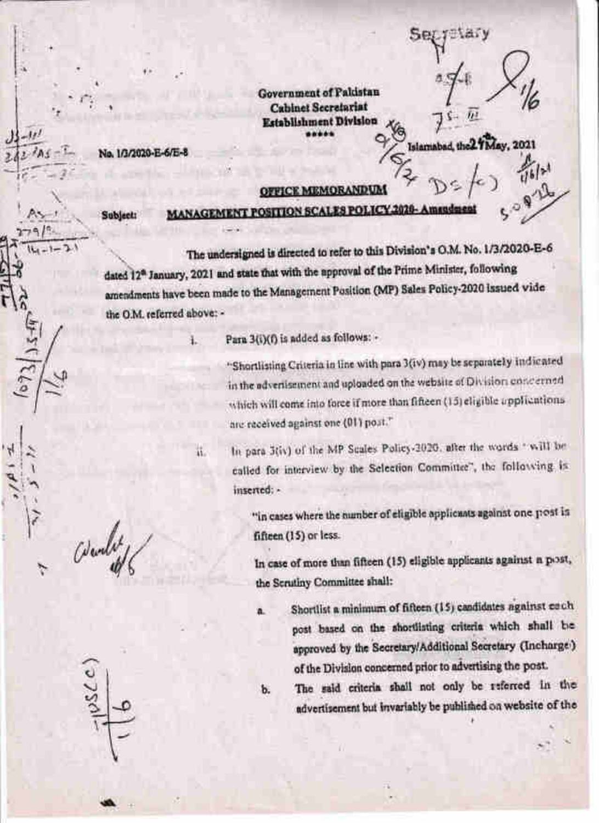**Government of Pakistan Cabinet Secretariat Establishment Division** .....

Islamabad, th

No. 1/3/2020-E-6/E-8

Ł

ü.

### **OFFICE MEMORANDUM**

Subject:

# **MANAGEMENT POSITION SCALES POLICY 2020-Amsade**

The undersigned is directed to refer to this Division's O.M. No. 1/3/2020-E-6 dated 12<sup>0</sup> January, 2021 and state that with the approval of the Prime Minister, following amendments have been made to the Management Position (MP) Sales Policy-2020 issued vide the O.M. referred above: -

Para 3(i)(f) is added as follows: -

a.

ъ.

"Shortlisting Criteria in line with para 3(iv) may be separately indicated in the advertisement and uploaded on the website of Division concerned which will come into force if more than fifteen (15) eligible applications are received against one (01) post."

In para 3(iv) of the MP Scales Policy-2020, after the words "will be called for interview by the Selection Committee", the following is inserted: -

"in cases where the number of eligible applicants against one post is fifteen (15) or less.

In case of more than fifteen (15) eligible applicants against a post, the Scrutiny Committee shall:

Shortlist a minimum of fifteen (15) candidates against each post based on the shortlisting criteria which shall be approved by the Secretary/Additional Secretary (Incharge) of the Division concerned prior to advertising the post.

The said criteria shall not only be referred in the advertisement but invariably be published on website of the

Wendet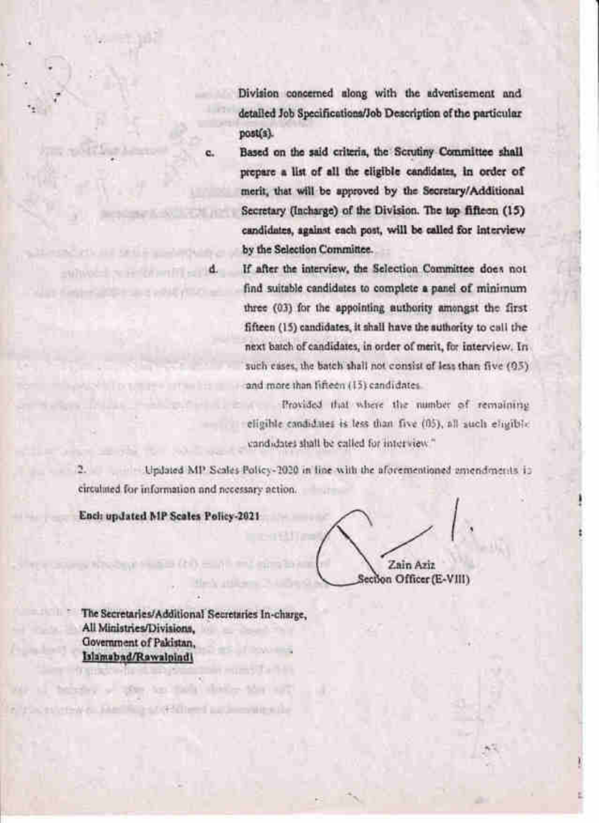Division concerned along with the advertisement and detailed Job Specifications/Job Description of the particular post(s).

Based on the said criteria, the Scrutiny Committee shall prepare a list of all the eligible candidates, in order of merit, that will be approved by the Secretary/Additional Secretary (Incharge) of the Division. The top fifteen (15) candidates, against each post, will be called for interview by the Selection Committee.

If after the interview, the Selection Committee does not find suitable candidates to complete a panel of minimum three (03) for the appointing authority amongst the first fifteen (15) candidates, it shall have the authority to call the next batch of candidates, in order of merit, for interview. In such cases, the batch shall not consist of less than five (95). and more than fifteen (15) candidates

Provided that where the number of remaining eligible candidates is less than five (05), all auch eligible. candidates shall be called for interview."

Updated MP Scales Policy-2020 in line with the aforementioned amendments in circulated for information and necessary action.

Ench updated MP Scales Policy-2021

 $\mathcal{L}(\mathbb{R})$  . In (

nicewe, had his softlined accountable

 $m = 1$ 

Zain Aziz ection Officer (E-VIII)

The Secretaries/Additional Secretaries In-charge, All Ministries/Divisions. Government of Pakistan. Islamabad/Rawalpindi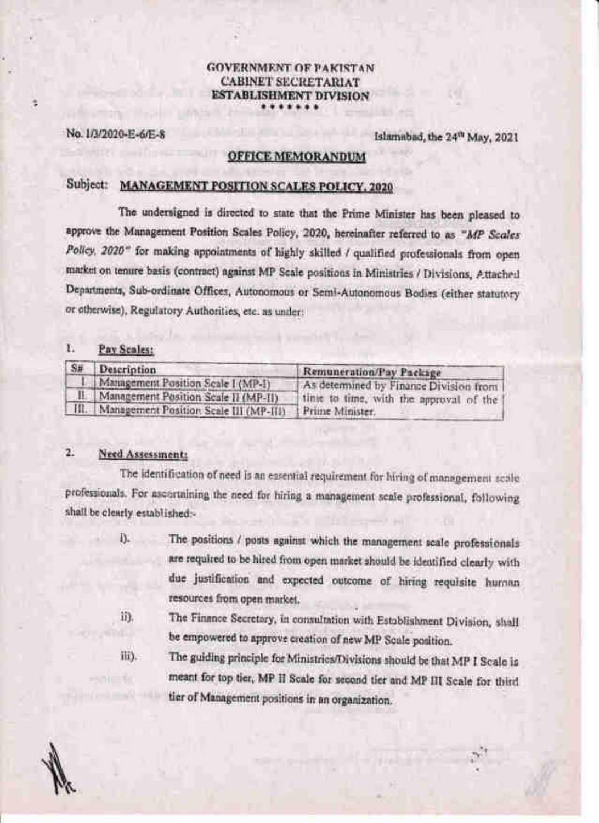## **GOVERNMENT OF PAKISTAN CABINET SECRETARIAT ESTABLISHMENT DIVISION**

No. 1/3/2020-E-6/E-8

ż

Islamabad, the 24<sup>th</sup> May, 2021

### **OFFICE MEMORANDUM**

## Subject: MANAGEMENT POSITION SCALES POLICY, 2020

The undersigned is directed to state that the Prime Minister has been pleased to approve the Management Position Scales Policy, 2020, hereinafter referred to as "MP Scales Policy, 2020" for making appointments of highly skilled / qualified professionals from open market on tenure basis (contract) against MP Scale positions in Ministries / Divisions, Attached Departments, Sub-ordinate Offices, Autonomous or Semi-Autonomous Bodies (either statutory or otherwise), Regulatory Authorities, etc. as under:

#### L. Pay Scales:

| S#   | Description                             | Remuneration/Pay Package               |
|------|-----------------------------------------|----------------------------------------|
|      | Management Position Scale I (MP-I)      | As determined by Finance Division from |
|      | II Management Position Scale II (MP-II) | tine to time, with the approval of the |
| TII. | Management Position Scale III (MP-HI)   | <b>I</b> Prime Minister.               |

#### $\mathbf{r}$ Need Assessment:

ili).

nie fe

The identification of need is an essential requirement for hiring of management scale professionals. For ascertaining the need for hiring a management scale professional, following shall be clearly established:-

- The positions / posts against which the management scale professionals  $\mathbf{I}$ . are required to be hired from open market should be identified clearly with due justification and expected outcome of hiring requisite human resources from open market.
- ii). The Finance Secretary, in consultation with Establishment Division, shall be empowered to approve creation of new MP Scale position.

The guiding principle for Ministries/Divisions should be that MP I Scale is meant for top tier, MP II Scale for second tier and MP III Scale for third tier of Management positions in an organization.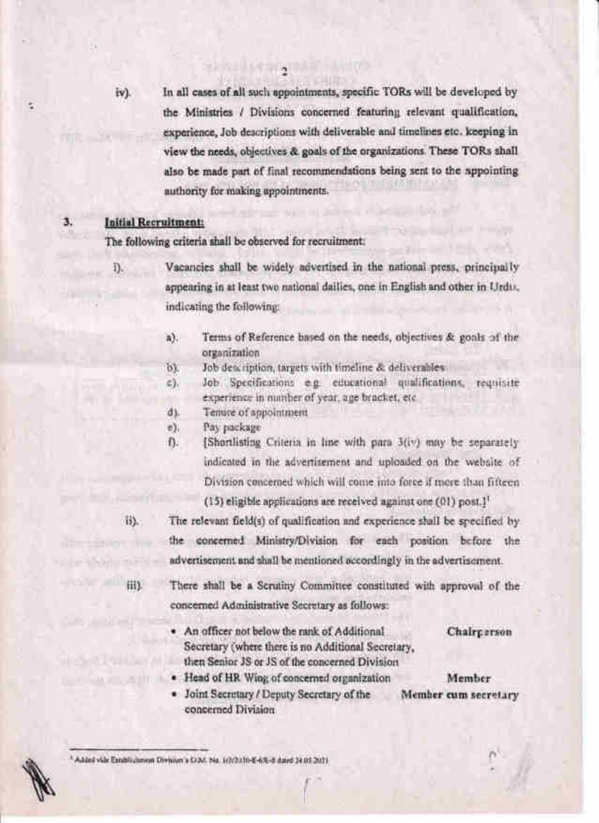iv).

In all cases of all such appointments, specific TORs will be developed by the Ministries / Divisions concerned featuring relevant qualification, experience, Job descriptions with deliverable and timelines etc. keeping in view the needs, objectives & goals of the organizations. These TORs shall also be made part of final recommendations being sent to the appointing authority for making appointments.

### Initial Recruitment:

The following criteria shall be observed for recruitment:

i).

3.

Vacancies shall be widely advertised in the national press, principally appearing in at least two national dailies, one in English and other in Urdu. indicating the following:

- Terms of Reference based on the needs, objectives & goals of the a). otganization
- Job description, targets with timeline & deliverables. bì.
- Job Specifications e.g. educational qualifications, requisite e). experience in number of year, age bracket, etc.
- Tenure of appointment d).
- Pay package e).
- [Shortlisting Criteria in line with para 3(iv) may be separately Đ. indicated in the advertisement and uploaded on the website of Division concerned which will come into force if more than fifteen (15) eligible applications are received against one (01) post.<sup>11</sup>

 $13$ ).

The relevant field(s) of qualification and experience shall be specified by the concerned Ministry/Division for each position before the advertisement and shall be mentioned accordingly in the advertisement.

HD.

There shall be a Scrutiny Committee constituted with approval of the concerned Administrative Secretary as follows:

. An officer not below the rank of Additional Secretary (where there is no Additional Secretary, then Senior JS or JS of the concerned Division

Chairperson

- Head of HR Wing of concerned organization
- · Joint Secretary / Deputy Secretary of the concerned Division

Member Member cum secretary

\* Added vide Extensioneen Division's COM, No. 1(2/2):30-E-65-E dated 24.05.2021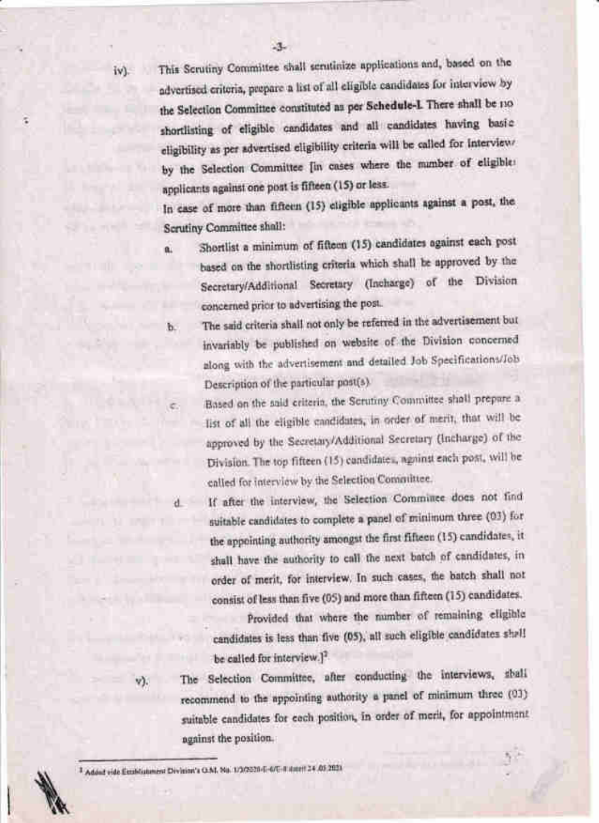iv).

a

This Scrutiny Comrnittee shall scrutinize applications and, based on the advertised criteria, prepare a list of all eligible candidates for interview by the Selection Committee constituted as per Schedule-I. There shall be no shortlisting of eligible candidates and all candidates having basic eligibility as per advertised eligibility criteria will be called for interview. by the Selection Committee [in cases where the number of eligible: applicants against one post is fifteen (15) or less'

In case of more than fifteen (15) etigible applicants against a post, the Scrutiny Committee shall:

- a. Shortlist a minimum of fifteen (15) candidates against each post based on the shortlisting criteria which shall be approved by the Secretary/Additional Secretary (Incharge) of the Division concerned prior to advertising the post.
- b. The said criteria shall not only be referred in the advertisement but invariably be published on website of the Division concerned along with the advertisement and detailed Job Specifications/Job Description of the particular post(s).
	- Based on the said criteria, the Scrutiny Committee shall prepare a list of all the eligible candidates, in order of merit, that will be approved by the Secretary/Additional Secretary (lncharge) of the Division. The top fifteen (15) candidates, against each post, will be called for interview by the Selection Committee.
- 

If after the interview, the Selection Committee does not find suitable candidates to cornplete a panel of minimum three (03) for the appointing authority amongst the first fifteen (15) candidates, it shall have the authority to call the next batch of candidates, in order of rnerit, for interview. In such cases, the batch shall not consist of less than five (05) and more than fifteen (15) candidates.

Provided that where the number of remaining eligible candidates is less than five (05), all such eligible candidates shall be called for interview.]<sup>2</sup>

v).

The Selection Committee, after conducting the interviews, shall recommend to the appointing authority a panel of minimum three (03) suitable candidates for each position, in order of merit, for appointment against the position.

:,

<sup>1</sup> Added vide Establishment Division's Q.M. No. 1/102020-E-6/E-8 dated 24.05.2021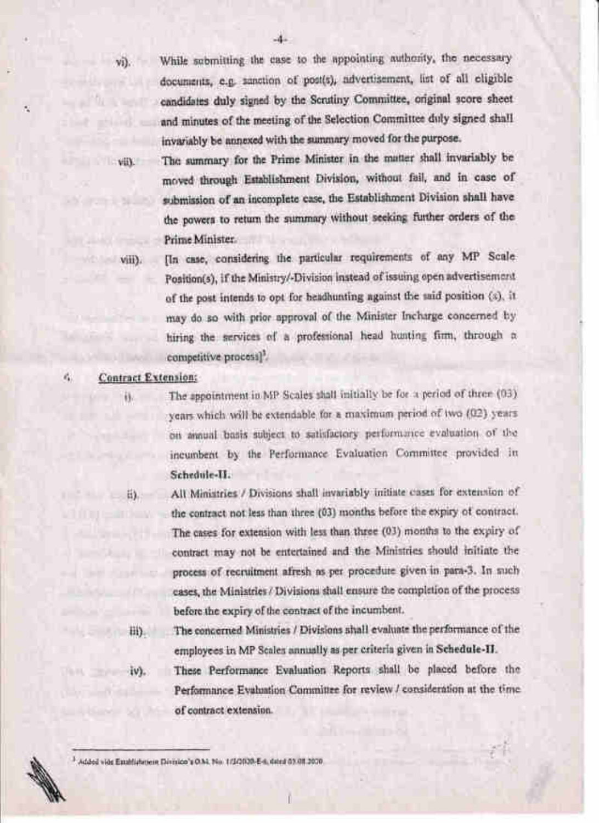$v_i$ ).

 $V(x)$ 

While submitting the case to the appointing authority, the necessary documents, e.g. sanction of post(s), advertisement, list of all eligible candidates duly signed by the Scrutiny Committee, original score sheet and minutes of the meeting of the Selection Committee duly signed shall invariably be annexed with the summary moved for the purpose.

The summary for the Prime Minister in the matter shall invariably be moved through Establishment Division, without fail, and in case of submission of an incomplete case, the Establishment Division shall have the powers to return the summary without seeking further orders of the Prime Minister

viii).

[In case, considering the particular requirements of any MP Scale Position(5), if the Ministry/-Division instead of issuing open advertisement. of the post intends to opt for headhunting against the said position (s), it may do so with prior approval of the Minister Incharge concerned by hiring the services of a professional head hunting firm, through a competitive process).

#### **Contract Extension:** ¢,

ii.

The appointment in MP Scales shall initially be for a period of three (03). years which will be extendable for a maximum period of two (02) years. on annual basis subject to satisfactory performance evaluation of the incumbent by the Performance Evaluation Committee provided in Schedule-II.

 $-6$ 

All Ministries / Divisions shall invariably initiate cases for extension of the contract not less than three (03) months before the expiry of contract. The cases for extension with less than three (03) months to the expiry of contract may not be entertained and the Ministries should initiate the process of recruitment afresh as per procedure given in para-3. In such cases, the Ministries / Divisions shall ensure the completion of the process before the expiry of the contract of the incumbent.

Bi)

The concerned Ministries / Divisions shall evaluate the performance of the employees in MP Scales annually as per criteria given in Schedule-II.

iv).

These Performance Evaluation Reports shall be placed before the Performance Evaluation Committee for review / consideration at the time of contract extension.

3 Added vide Emphishment Division's O.M. No. 1/20100-E-6, dated 03.08.2000.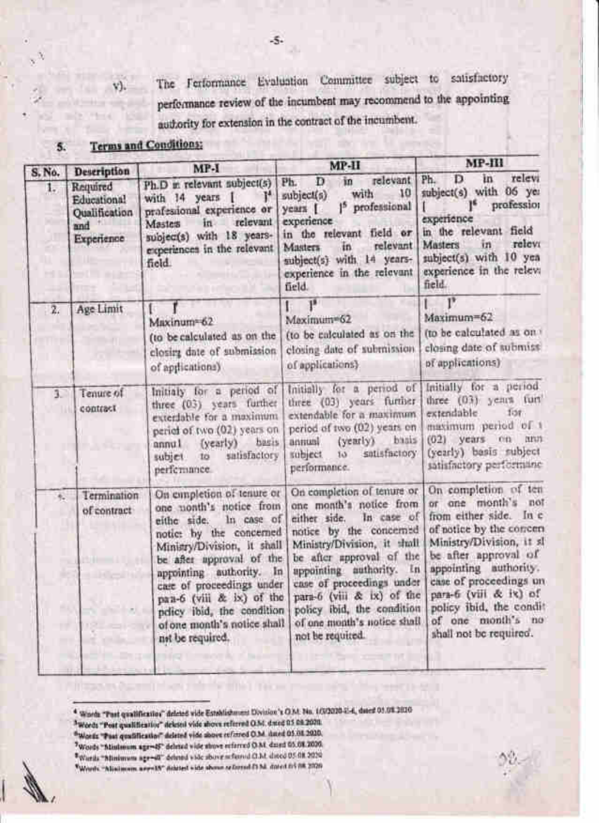The Ferformance Evaluation Committee subject to satisfactory performance review of the incumbent may recommend to the appointing authority for extension in the contract of the incumbent.

#### **Terms and Conditions:**  $5.$

V).

X

| S. No.           | Description                                                          | $MP-I$                                                                                                                                                                                                                                                                                                                                       | MP-II                                                                                                                                                                                                                                                                                                                                            | MP-III                                                                                                                                                                                                                                                                                                    |
|------------------|----------------------------------------------------------------------|----------------------------------------------------------------------------------------------------------------------------------------------------------------------------------------------------------------------------------------------------------------------------------------------------------------------------------------------|--------------------------------------------------------------------------------------------------------------------------------------------------------------------------------------------------------------------------------------------------------------------------------------------------------------------------------------------------|-----------------------------------------------------------------------------------------------------------------------------------------------------------------------------------------------------------------------------------------------------------------------------------------------------------|
| 1.               | Required<br>Educational<br><b>Oualification</b><br>and<br>Experience | Ph.D m relevant subject(s)<br>$\mathbf{I}^{\mathbf{A}}$<br>with 14 years 1<br>professional experience or<br>relevant<br>in<br>Masters<br>subjec(s) with 18 years-<br>experiences in the relevant<br>field                                                                                                                                    | relevant<br>in<br>D<br>Ph.<br>10<br>with<br>subject(s)<br>1 <sup>5</sup> professional<br>years [<br>experience<br>in the relevant field or<br>relevant<br>in.<br>Masters<br>subject(s) with 14 years-<br>experience in the relevant<br>field.                                                                                                    | relevi<br>in<br>Ph.<br>D<br>subject(s) with 06 yea<br>profession<br>experience<br>in the relevant field<br>relevi<br>Masters<br>īn<br>subject(s) with 10 yea<br>experience in the releva<br>field.                                                                                                        |
| $\overline{z}$ . | Age Limit                                                            | Maxinum=62<br>(to be calculated as on the<br>closing date of submission<br>of applications)                                                                                                                                                                                                                                                  | p8<br>Maximum=62<br>(to be enleulated as on the<br>closing date of submission<br>of applications).                                                                                                                                                                                                                                               | P<br>Maximum=62<br>(to be calculated as on)<br>closing date of submits.<br>of applications)                                                                                                                                                                                                               |
| 3                | Tenure of<br>contract                                                | Initialy for a period of<br>three (03) years further<br>exterdable for a maximum<br>period of two (02) years on<br><b>bagis</b><br>(yearly)<br>Itinna<br>satisfactory<br>subjet.<br>to<br>perfermance.                                                                                                                                       | Initially for a period of<br>three (03) years further<br>extendable for a maximum.<br>period of two (02) years on<br>basis<br>(yearly)<br>leuma<br>satisfactory<br>subject.<br>$10^{\circ}$<br>performance.                                                                                                                                      | Initially for a period<br>three (03) years furt<br>extendable.<br>10t<br>maximum period of 1<br>$(02)$ years on ann<br>(yearly) basis subject<br>satisfactory performanc                                                                                                                                  |
| ĸ.<br>m          | Termination<br>of contract                                           | On empletion of tenure or<br>one nonth's notice from<br>In case of<br>eithe side.<br>notice by the concerned<br>Minisry/Division, it shall<br>be after upproval of the<br>appointing authority. In<br>care of proceedings under<br>pan-6 (viii & ix) of the<br>pelicy ibid, the condition<br>of one month's notice shall<br>not be required. | On completion of tenure or<br>one month's notice from<br>In case of<br>either side.<br>notice by the concerned<br>Ministry/Division, it shall<br>be after approval of the<br>appointing authority. In<br>case of proceedings under<br>para-6 (viii & ix) of the<br>policy ibid, the condition<br>of one month's notice shall<br>not be required. | On completion of ten<br>or one month's not<br>from either side. In c<br>of notice by the correm<br>Ministry/Division, it sl<br>be after approval of<br>appointing authority.<br>case of proceedings un<br>para-6 (viii & ix) of<br>policy ibid, the condit<br>of one month's no<br>shall not be required. |

<sup>4</sup> Words "Past qualification" deleted vide Establishment Division's O.M. No. 1/3/2020-21-4, dated 01.08.2020

- <sup>3</sup>Words "Post qualificatior" deleted vide shows referred Q.M. dwed 05 08.2020.
- <sup>6</sup> Words "Post qualification" deleted vide above referred O.M. dated 05.08.2020.
- Words "Minimum age=45" deleted vide above referred O.M. dated 05.08.2020.
- \*Wards "Minimum age=40" deleted vide above seferred CLM dired 05 08 2020
- \*Words "Aliaimons aggreSY" debted vide above or formd (1 Mi dated to 108 2020

-5.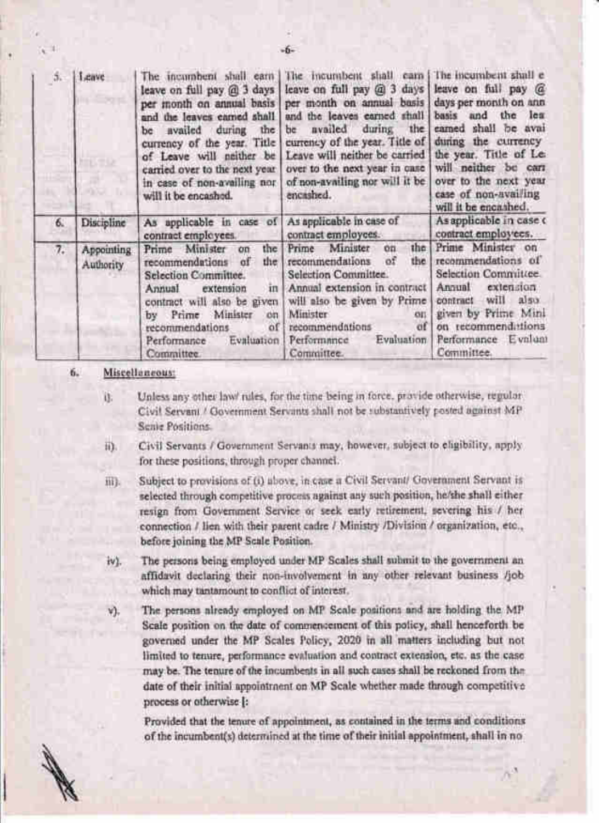| 5. | Leave                   | The incumbent shall earn<br>leave on full pay @ 3 days<br>per month on annual basis<br>and the leaves earned shall<br>the<br>be availed<br>during<br>currency of the year. Title<br>of Leave will neither be<br>carried over to the next year.<br>in case of non-availing nor<br>will it be encashed. | The incumbent shall cars<br>leave on full pay @ 3 days<br>per month on annual basis<br>and the leaves earned shall<br>during the<br>availed<br>be<br>currency of the year. Title of<br>Leave will neither be carried<br>over to the next year in case<br>of non-availing nor will it be<br>encashed. | The incumbent shall e<br>leave on full pay @<br>days per month on ann<br>basis and the lea<br>camed shall be avai<br>during the currency<br>the year. Title of Le.<br>will neither be carr<br>over to the next year<br>case of non-availing<br>will it be encashed. |  |
|----|-------------------------|-------------------------------------------------------------------------------------------------------------------------------------------------------------------------------------------------------------------------------------------------------------------------------------------------------|------------------------------------------------------------------------------------------------------------------------------------------------------------------------------------------------------------------------------------------------------------------------------------------------------|---------------------------------------------------------------------------------------------------------------------------------------------------------------------------------------------------------------------------------------------------------------------|--|
| 6. | Discipline              | As applicable in case of<br>contract employees.                                                                                                                                                                                                                                                       | As applicable in case of<br>contract employees.                                                                                                                                                                                                                                                      | As applicable in case o<br>contract employees.                                                                                                                                                                                                                      |  |
| 7. | Appointing<br>Authority | Prime Minister<br>the<br>on<br>the<br>recommendations<br>$\alpha$ f<br>Selection Committee.<br>extension<br>Annual<br>in<br>contract will also be given<br>by Prime Minister<br>cm<br>recommendations<br>of<br>Evaluation<br>Performance<br>Committee.                                                | Minister<br>the<br>Prime<br>on<br>recommendations<br>0 <sup>7</sup><br>the<br>Selection Committee.<br>Annual extension in contract<br>will also be given by Prime<br>Minister<br><b>OII</b><br>of<br>recommendations<br>Evaluation<br>Performance<br>Committee.                                      | Prime Minister on<br>recommendations of<br>Selection Committee.<br>extension<br>Annual<br>also:<br>will<br>contract<br>given by Prime Mini<br>on recommenditions<br>Performance Evaluat<br>Committee.                                                               |  |

#### 6. Miscellaneous:

- Unless any other law/ rules, for the time being in force, pravide otherwise, regular ü. Civil Servani / Government Servants shall not be substantively posted against MP Senie Positions
- Civil Servants / Government Servants may, however, subject to eligibility, apply 静. for these positions, through proper channel.
- Subject to provisions of (i) above, in case a Civil Servant/ Government Servant is iii). selected through competitive process against any such position, he/she shall either resign from Government Service or seek early retirement, severing his / her connection / lien with their parent cadre / Ministry /Division / organization, etc., before joining the MP Scale Position.
- iv). The persons being employed under MP Scales shall submit to the government an affidavit declaring their non-involvement in any other relevant business /job which may tantamount to conflict of interest.
- The persons already employed on MP Scale positions and are holding the MP v). Scale position on the date of commencement of this policy, shall henceforth be governed under the MP Scales Policy, 2020 in all matters including but not limited to tenure, performance evaluation and contract extension, etc. as the case may be. The tenure of the incumbents in all such cases shall be reckoned from the date of their initial appointment on MP Scale whether made through competitive process or otherwise [:

Provided that the tenure of appointment, as contained in the terms and conditions of the incumbent(s) determined at the time of their initial appointment, shall in no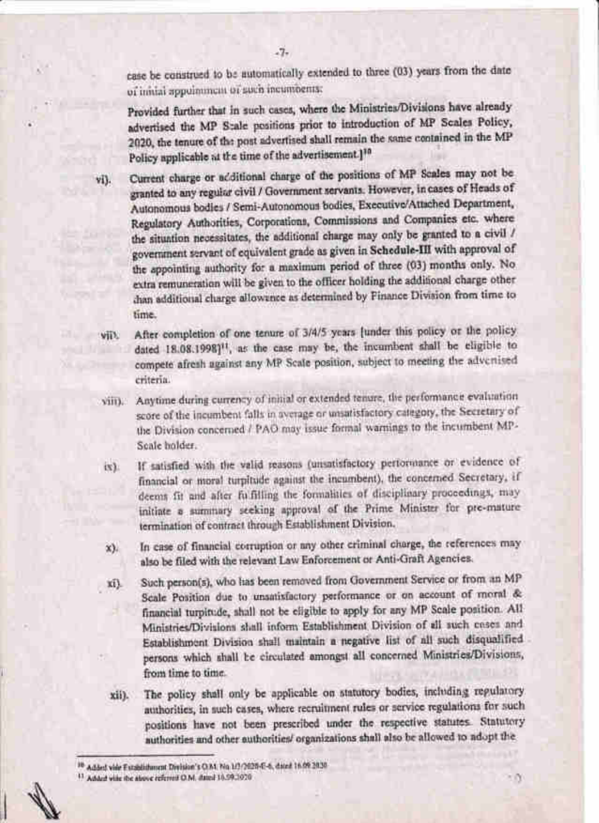case be construed to be automatically extended to three (03) years from the date of initial appointment of such incumbents:

Provided further that in such cases, where the Ministries/Divisions have already advertised the MP Stale positions prior to introduction of MP Scales Policy, 2020, the tenute of the post advertised shall remain the same contained in the MP Policy applicable at the time of the advertisement.]<sup>10</sup>

Current charge or additional charge of the positions of MP Scales may not be vi). granted to any regular civil / Government servants. However, in cases of Heads of Autonomous bodies / Semi-Autonomous bodies, Executive/Attached Department, Regulatory Authorities, Corporations, Commissions and Companies etc. where the situation necessitates, the additional charge may only be granted to a civil / government servant of equivalent grade as given in Schedule-III with approval of the appointing authority for a maximum period of three (03) months only. No extra remuneration will be given to the officer holding the additional charge other chan additional charge allowince as determined by Finance Division from time to time.

- After completion of one tenure of 3/4/5 years [under this policy or the policy vii). dated 18.08.1998]<sup>11</sup>, as the case may be, the incumbent shall be eligible to compete afresh against any MP Scale position, subject to meeting the advertised criteria.
- Anytime during currency of initial or extended tenure, the performance evaluation sim score of the incumbent falls in average or unsatisfactory category, the Secretary of the Division concerned / PAO may issue formal warnings to the incumbent MP-Scale bolder.
- If satisfied with the valid reasons (unsatisfactory performance or evidence of  $(x)$ financial or moral turpitude against the incumbent), the concerned Secretary, if deems fit and after fulfilling the formalities of disciplinary proceedings, may initiate a summary seeking approval of the Prime Minister for pre-mature termination of contract through Establishment Division.
- In case of financial corruption or any other criminal charge, the references may  $(\chi)$ also be filed with the relevant Law Enforcement or Anti-Graft Agencies.
- Such person(s), who has been removed from Government Service or from an MP xi). Scale Position due to unsatisfactory performance or on account of moral & financial turpitude, shall not be eligible to apply for any MP Scale position. All Ministries/Divisions shall inform Establishment Division of all such cases and Establishment Division shall maintain a negative list of all such disqualified persons which shall be circulated amongst all concerned Ministries/Divisions, from time to time.
- The policy shall only be applicable on statutory bodies, including regulatory, xii). authorities, in such cases, where recruitment rules or service regulations for such positions have not been prescribed under the respective statutes. Statutory authorities and other authorities/ organizations shall also be allowed to adopt the

٠Ŋ

 $-7-$ 

<sup>10</sup> Added vide Excellibroom Division's O.M. No. 1/2/2020-E-6, dated 16:09 2020

<sup>&</sup>lt;sup>13</sup> Added wife the above referred O.M. dated 16.59.1020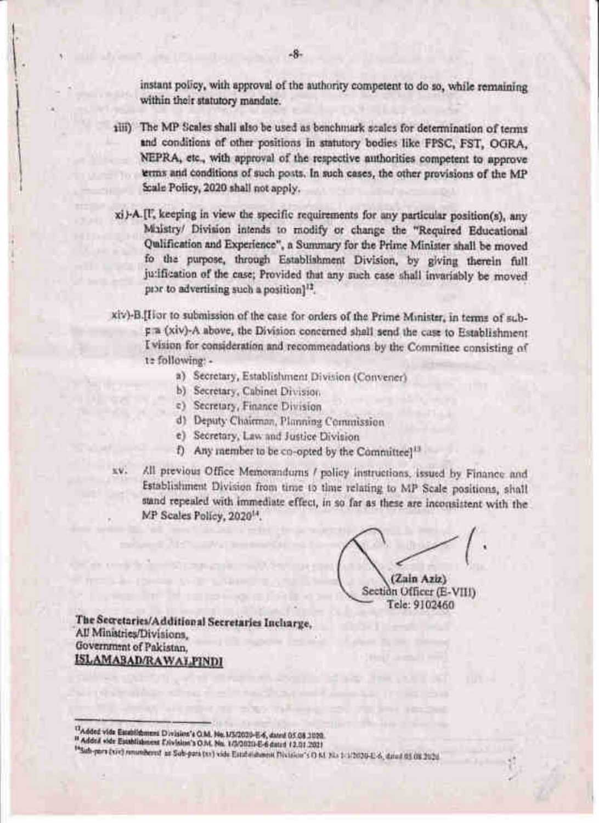instant policy, with approval of the authority competent to do so, while remaining within their statutory mandate.

- tiii) The MP Scales shall also be used as benchmark scales for determination of terms and conditions of other positions in statutory bodies like FPSC, FST, OGRA, NEPRA, etc., with approval of the respective authorities competent to approve terms and conditions of such posts. In such cases, the other provisions of the MP Scale Policy, 2020 shall not apply.
- xi)-A.[I] keeping in view the specific requirements for any particular position(s), any Maistry/ Division intends to modify or change the "Required Educational Qulification and Experience", a Summary for the Prime Minister shall be moved fo the purpose, through Establishment Division, by giving therein full ju:ification of the case; Provided that any such case shall invariably be moved pror to advertising such a position<sup>12</sup>.
- xiv)-B.[Hor to submission of the case for orders of the Prime Minister, in terms of subr a (xiv)-A above, the Division concerned shall send the case to Establishment I vision for consideration and recommendations by the Committee consisting of te following:
	- a) Secretary, Establishment Division (Convener)
	- b) Secretary, Cabinet Division.
	- e) Secretary, Finance Division
	- d) Deputy Chairman, Planning Commission
	- e) Secretary, Law and Justice Division
	- f) Any member to be co-opted by the Committee]<sup>11</sup>
- All previous Office Memorandums / policy instructions, issued by Finance and  $w \in V$ Establishment Division from time to time relating to MP Scale positions, shall stand repealed with immediate effect, in so far as these are inconsistent with the MP Scales Policy, 2020<sup>14</sup>.

(Zain Aziz)

Section Officer (E-VIII) Tele: 9102460

The Secretaries/Additional Secretaries Incharge, All Ministries/Divisions. Government of Pakistan. ISLAMABAD/RAWALPINDI

<sup>17</sup>Added vide Establishment Division's O.M. No. 1/5/2020-E-6, dated 05.08.2020.

<sup>&</sup>quot; Added vide Establishment Exivision's O.M. No. 1/2/2020-E-6 dated 12.01.2021

<sup>14</sup> Sub-pers (vis) renundered as Sub-pers (xv) vide Establishment Division's O KL 32+1-1/2020-E-6, dated 03 08 2020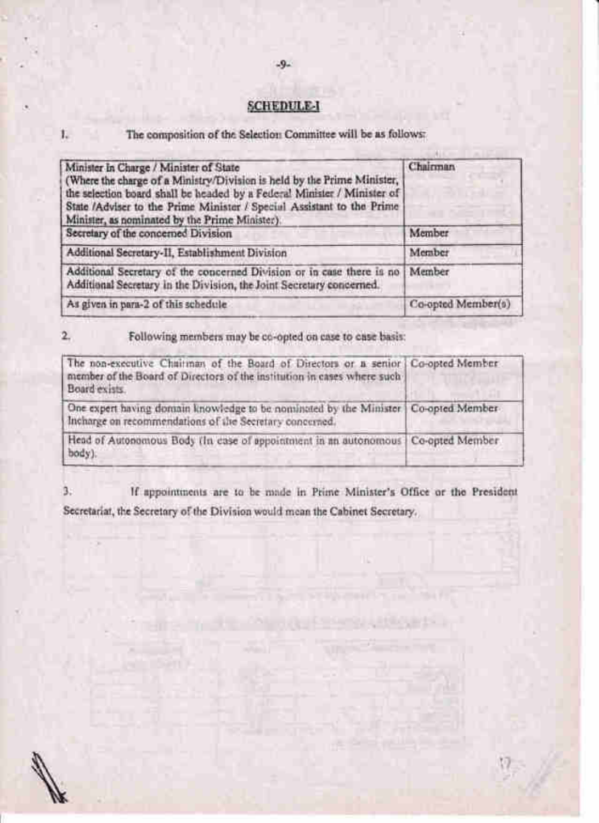## **SCHEDULE I**

### The composition of the Selection Committee will be as follows:

1.

| Minister In Charge / Minister of State<br>(Where the charge of a Ministry/Division is held by the Prime Minister,<br>the selection board shall be headed by a Federal Minister / Minister of<br>State /Adviser to the Prime Minister / Special Assistant to the Prime<br>Minister, as nominated by the Prime Minister). | Chairman           |
|-------------------------------------------------------------------------------------------------------------------------------------------------------------------------------------------------------------------------------------------------------------------------------------------------------------------------|--------------------|
| Secretary of the concerned Division                                                                                                                                                                                                                                                                                     | Member             |
| Additional Secretary-II, Establishment Division                                                                                                                                                                                                                                                                         | Member             |
| Additional Secretary of the concerned Division or in case there is no<br>Additional Secretary in the Division, the Joint Secretary concerned.                                                                                                                                                                           | Member             |
| As given in para-2 of this schedule                                                                                                                                                                                                                                                                                     | Co-opted Member(s) |

#### Following members may be co-opted on case to case basis:  $2.$

| The non-executive Chairman of the Board of Directors or a senior   Co-opted Member<br>member of the Board of Directors of the institution in cases where such<br>Board exists. |  |
|--------------------------------------------------------------------------------------------------------------------------------------------------------------------------------|--|
| One expert having domain knowledge to be nominated by the Minister   Co-opted Member-<br>Incharge on recommendations of the Secretary concerned.                               |  |
| Head of Autonomous Body (In case of appointment in an autonomous   Co-opted Member<br>body).                                                                                   |  |

 $3.$ If appointments are to be made in Prime Minister's Office or the President Secretariat, the Secretary of the Division would mean the Cabinet Secretary.

 $-9-$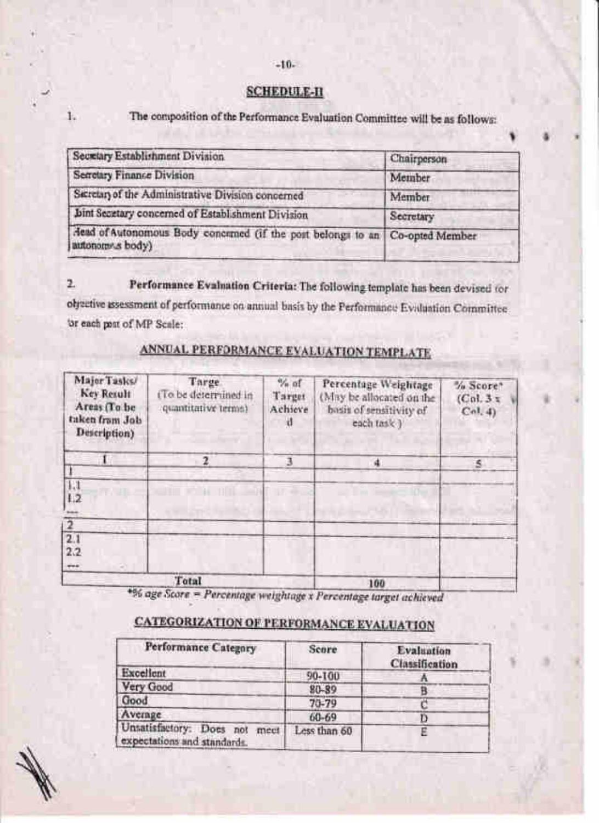### $-10-$

### **SCHEDULE-II**

The composition of the Performance Evaluation Committee will be as follows:

| Secretary Establishment Division                                                                 | Chairperson |
|--------------------------------------------------------------------------------------------------|-------------|
| Secretary Finance Division                                                                       | Member      |
| Secretary of the Administrative Division concerned                                               | Member      |
| Joint Secretary concerned of Establishment Division                                              | Secretary   |
| Aead of Autonomous Body concerned (if the post belongs to an Co-opted Member<br>autonomy s body) |             |

Performance Evaluation Criteria: The following template has been devised for  $\mathbf{z}$ olysetive assessment of performance on annual basis by the Performance Evaluation Committee. or each post of MP Scale:

| Major Tasks/<br><b>Key Retult</b><br>Areas (To be<br>taken from Job<br>Description) | Targe<br>(To be determined in<br>quantitative terms) | $\frac{a}{a}$ of<br>Target<br>Achieve<br>-d | Percentage Weightage<br>(May be allocated on the<br>basis of sensitivity of<br>each task) | % Score*<br>(Col.3 <sub>x</sub> )<br>Col.4 |
|-------------------------------------------------------------------------------------|------------------------------------------------------|---------------------------------------------|-------------------------------------------------------------------------------------------|--------------------------------------------|
|                                                                                     | 2                                                    |                                             | $\frac{1}{2}$                                                                             | s                                          |
| L1<br>1.2<br><b>bas</b>                                                             |                                                      |                                             |                                                                                           |                                            |
| 2.1                                                                                 |                                                      |                                             |                                                                                           |                                            |
| 2.2<br>eve.                                                                         |                                                      |                                             |                                                                                           |                                            |
|                                                                                     | Total                                                |                                             | 100                                                                                       |                                            |

# ANNUAL PERFORMANCE EVALUATION TEMPLATE

\*% age Score = Percentage weightage x Percentage target achieved

# CATEGORIZATION OF PERFORMANCE EVALUATION

| Performance Category                                            | Score        | Evaluation<br><b>Classification</b> |
|-----------------------------------------------------------------|--------------|-------------------------------------|
| Excellent                                                       | 90-100       |                                     |
| Very Good                                                       | 80-89        |                                     |
| Good                                                            | $70 - 79$    |                                     |
| Average                                                         | 60-69        |                                     |
| Unsatisfactory: Does not<br>meet<br>expectations and standards. | Less than 60 |                                     |

ī.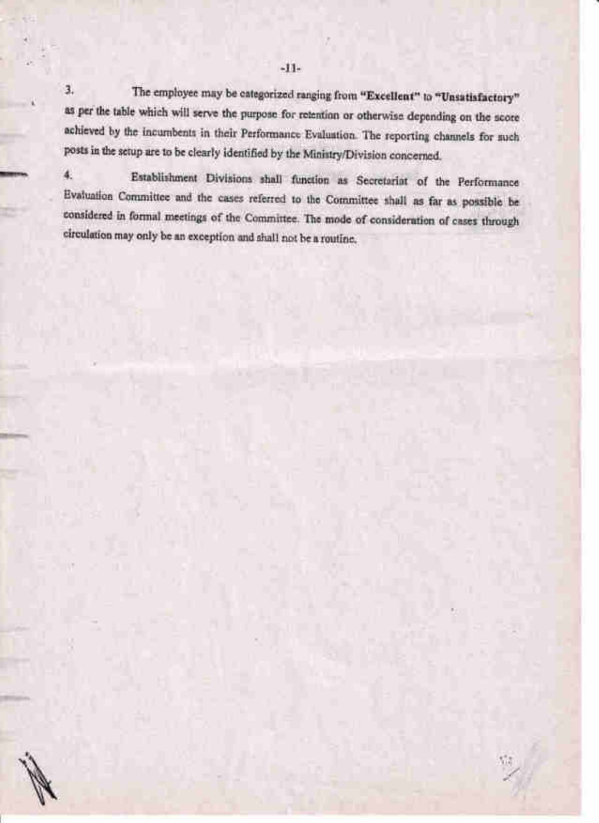3. The employee may be categorized ranging from "Excellent" to "Unsatisfactory" as per the table which will serve the purpose for retention or otherwise depending on the score achieved by the incumbents in their Performance Evaluation. The reporting channels for such posts in the setup are to be clearly identified by the MinistrylDivision concerned.

4' Establishment Divisions shall function as Secretariat of the performance Evaluation Comnrittee and the cases referred to the Cornrnittee shalt as far as possible be considered in forrnal meetings of the Commirtee. The mode of consideration of cases through circulation may only be an exception and shall not be a routine.

1

M,tlmr

Fl

'II-